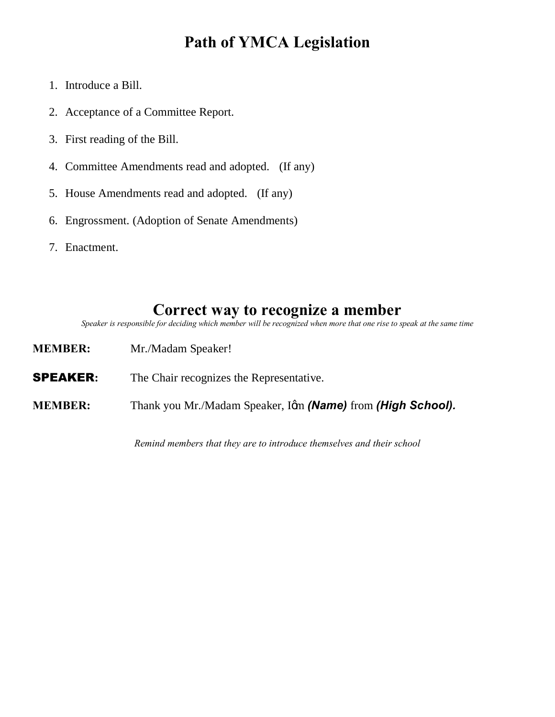### **Path of YMCA Legislation**

- 1. Introduce a Bill.
- 2. Acceptance of a Committee Report.
- 3. First reading of the Bill.
- 4. Committee Amendments read and adopted. (If any)
- 5. House Amendments read and adopted. (If any)
- 6. Engrossment. (Adoption of Senate Amendments)
- 7. Enactment.

### **Correct way to recognize a member**

*Speaker is responsible for deciding which member will be recognized when more that one rise to speak at the same time*

**MEMBER:** Mr./Madam Speaker! **SPEAKER:** The Chair recognizes the Representative. **MEMBER:** Thank you Mr./Madam Speaker, Igm **(Name)** from **(High School).** 

*Remind members that they are to introduce themselves and their school*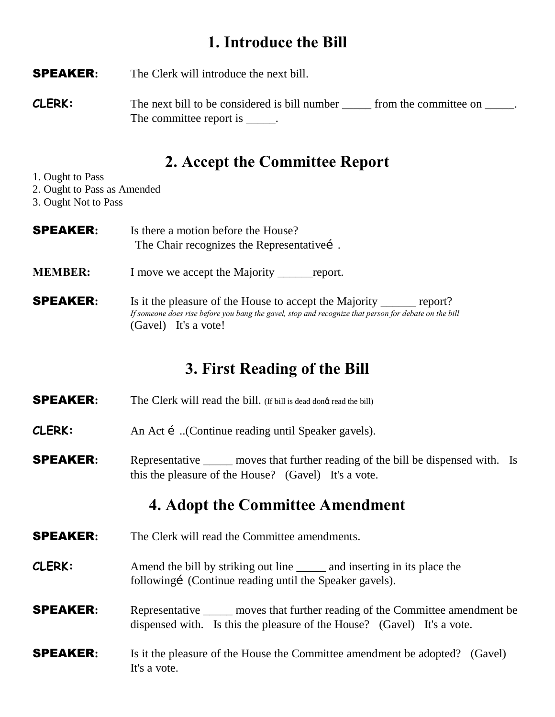## **1. Introduce the Bill**

SPEAKER**:** The Clerk will introduce the next bill.

**CLERK:** The next bill to be considered is bill number <u>seem</u> from the committee on <u>see</u>. The committee report is \_\_\_\_\_.

### **2. Accept the Committee Report**

- 1. Ought to Pass
- 2. Ought to Pass as Amended
- 3. Ought Not to Pass

| <b>SPEAKER:</b> | Is there a motion before the House?<br>The Chair recognizes the Representative s.                                                                                                                          |  |
|-----------------|------------------------------------------------------------------------------------------------------------------------------------------------------------------------------------------------------------|--|
| <b>MEMBER:</b>  | I move we accept the Majority _______<br>report.                                                                                                                                                           |  |
| <b>SPEAKER:</b> | Is it the pleasure of the House to accept the Majority _______<br>report?<br>If someone does rise before you bang the gavel, stop and recognize that person for debate on the bill<br>(Gavel) It's a vote! |  |

## **3. First Reading of the Bill**

**SPEAKER:** The Clerk will read the bill. (If bill is dead dong read the bill)

**CLERK:** An Act í ...(Continue reading until Speaker gavels).

**SPEAKER:** Representative \_\_\_\_\_ moves that further reading of the bill be dispensed with. Is this the pleasure of the House? (Gavel) It's a vote.

## **4. Adopt the Committee Amendment**

- **SPEAKER:** The Clerk will read the Committee amendments.
- **CLERK:** Amend the bill by striking out line and inserting in its place the following (Continue reading until the Speaker gavels).

**SPEAKER:** Representative \_\_\_\_\_ moves that further reading of the Committee amendment be dispensed with. Is this the pleasure of the House? (Gavel) It's a vote.

**SPEAKER:** Is it the pleasure of the House the Committee amendment be adopted? (Gavel) It's a vote.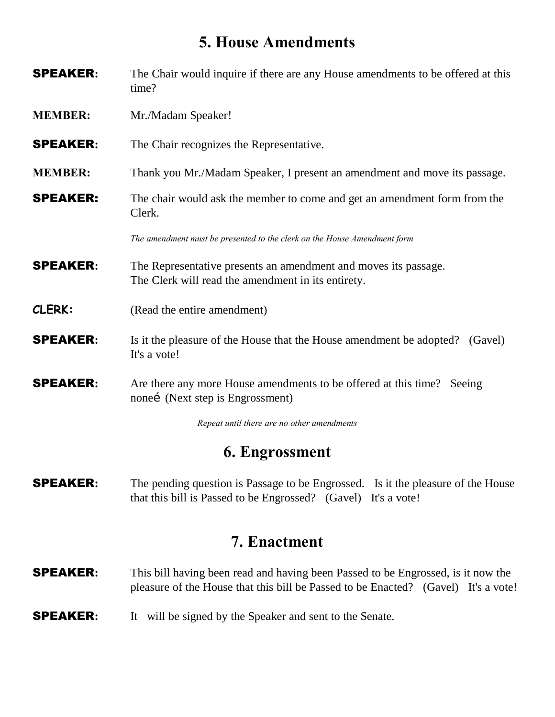### **5. House Amendments**

- SPEAKER**:** The Chair would inquire if there are any House amendments to be offered at this time? **MEMBER:** Mr./Madam Speaker!
- 
- **SPEAKER:** The Chair recognizes the Representative.
- **MEMBER:** Thank you Mr./Madam Speaker, I present an amendment and move its passage.
- **SPEAKER:** The chair would ask the member to come and get an amendment form from the Clerk.

*The amendment must be presented to the clerk on the House Amendment form*

- **SPEAKER:** The Representative presents an amendment and moves its passage. The Clerk will read the amendment in its entirety.
- **CLERK:** (Read the entire amendment)
- **SPEAKER:** Is it the pleasure of the House that the House amendment be adopted? (Gavel) It's a vote!
- **SPEAKER:** Are there any more House amendments to be offered at this time? Seeing nonei (Next step is Engrossment)

*Repeat until there are no other amendments*

### **6. Engrossment**

**SPEAKER:** The pending question is Passage to be Engrossed. Is it the pleasure of the House that this bill is Passed to be Engrossed? (Gavel) It's a vote!

### **7. Enactment**

- SPEAKER**:** This bill having been read and having been Passed to be Engrossed, is it now the pleasure of the House that this bill be Passed to be Enacted? (Gavel) It's a vote!
- **SPEAKER:** It will be signed by the Speaker and sent to the Senate.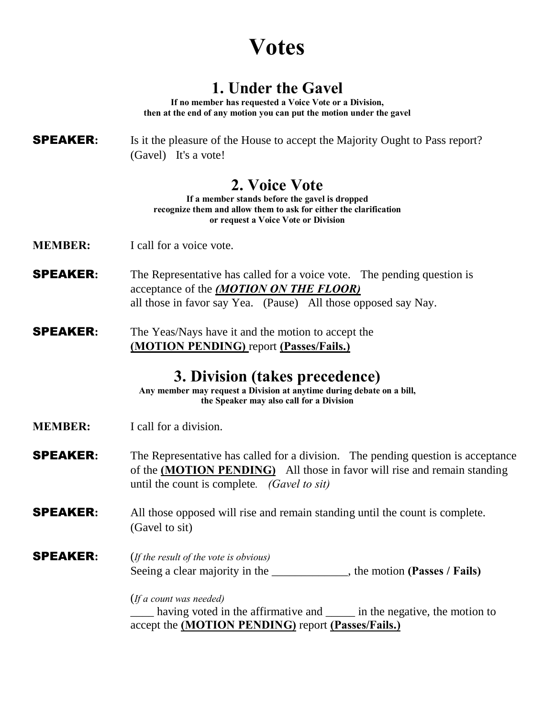# **Votes**

## **1. Under the Gavel**

**If no member has requested a Voice Vote or a Division, then at the end of any motion you can put the motion under the gavel**

#### **SPEAKER:** Is it the pleasure of the House to accept the Majority Ought to Pass report? (Gavel) It's a vote!

### **2. Voice Vote**

**If a member stands before the gavel is dropped recognize them and allow them to ask for either the clarification or request a Voice Vote or Division**

- **MEMBER:** I call for a voice vote.
- **SPEAKER:** The Representative has called for a voice vote. The pending question is acceptance of the *(MOTION ON THE FLOOR)* all those in favor say Yea. (Pause) All those opposed say Nay.
- **SPEAKER:** The Yeas/Nays have it and the motion to accept the **(MOTION PENDING)** report **(Passes/Fails.)**

### **3. Division (takes precedence)**

**Any member may request a Division at anytime during debate on a bill, the Speaker may also call for a Division**

- **MEMBER:** I call for a division.
- **SPEAKER:** The Representative has called for a division. The pending question is acceptance of the **(MOTION PENDING)** All those in favor will rise and remain standing until the count is complete*. (Gavel to sit)*

#### SPEAKER**:** All those opposed will rise and remain standing until the count is complete. (Gavel to sit)

#### SPEAKER**:** (*If the result of the vote is obvious)* Seeing a clear majority in the \_\_\_\_\_\_\_\_\_\_\_\_\_, the motion **(Passes / Fails)**

#### (*If a count was needed)*

having voted in the affirmative and \_\_\_\_\_\_ in the negative, the motion to accept the **(MOTION PENDING)** report **(Passes/Fails.)**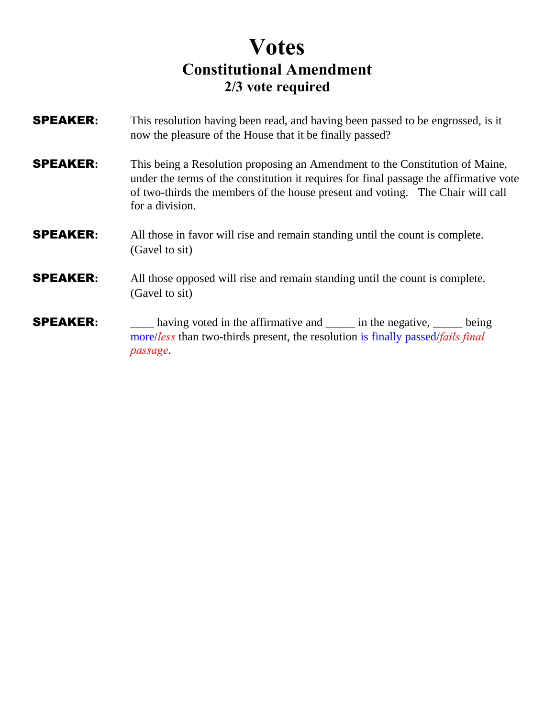## **Votes Constitutional Amendment 2/3 vote required**

- SPEAKER**:** This resolution having been read, and having been passed to be engrossed, is it now the pleasure of the House that it be finally passed?
- SPEAKER**:** This being a Resolution proposing an Amendment to the Constitution of Maine, under the terms of the constitution it requires for final passage the affirmative vote of two-thirds the members of the house present and voting. The Chair will call for a division.

#### SPEAKER**:** All those in favor will rise and remain standing until the count is complete. (Gavel to sit)

#### **SPEAKER:** All those opposed will rise and remain standing until the count is complete. (Gavel to sit)

**SPEAKER:** having voted in the affirmative and \_\_\_\_\_ in the negative, \_\_\_\_\_ being more/*less* than two-thirds present, the resolution is finally passed/*fails final passage*.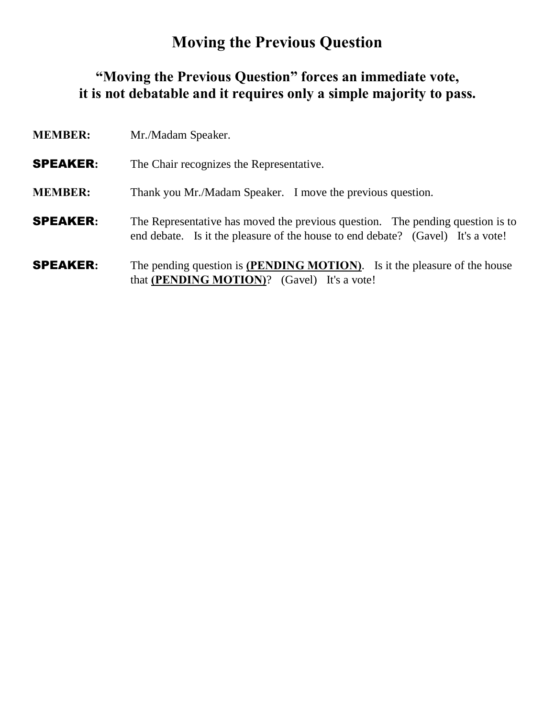## **Moving the Previous Question**

### **"Moving the Previous Question" forces an immediate vote, it is not debatable and it requires only a simple majority to pass.**

| <b>MEMBER:</b>  | Mr./Madam Speaker.                                                                                                                                                |
|-----------------|-------------------------------------------------------------------------------------------------------------------------------------------------------------------|
| <b>SPEAKER:</b> | The Chair recognizes the Representative.                                                                                                                          |
| <b>MEMBER:</b>  | Thank you Mr./Madam Speaker. I move the previous question.                                                                                                        |
| <b>SPEAKER:</b> | The Representative has moved the previous question. The pending question is to<br>end debate. Is it the pleasure of the house to end debate? (Gavel) It's a vote! |
| <b>SPEAKER:</b> | The pending question is <b>(PENDING MOTION)</b> . Is it the pleasure of the house<br>that (PENDING MOTION)? (Gavel) It's a vote!                                  |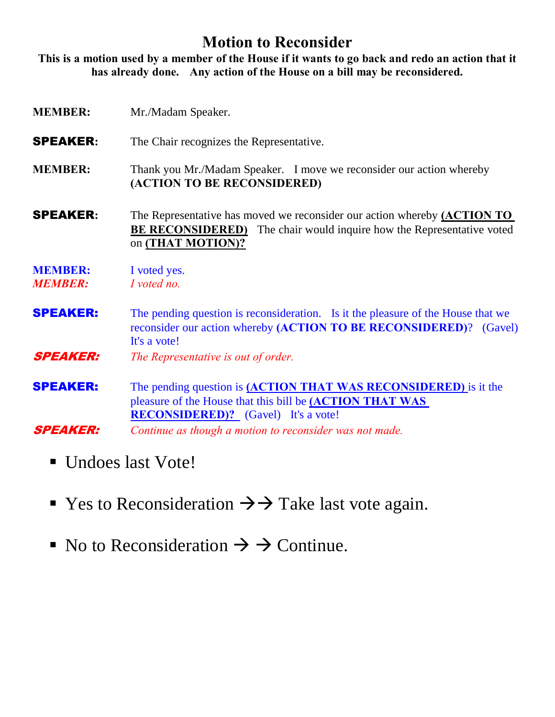### **Motion to Reconsider**

**This is a motion used by a member of the House if it wants to go back and redo an action that it has already done. Any action of the House on a bill may be reconsidered.**

- **MEMBER:** Mr./Madam Speaker. **SPEAKER:** The Chair recognizes the Representative. **MEMBER:** Thank you Mr./Madam Speaker. I move we reconsider our action whereby **(ACTION TO BE RECONSIDERED)** SPEAKER**:** The Representative has moved we reconsider our action whereby **(ACTION TO BE RECONSIDERED)** The chair would inquire how the Representative voted on **(THAT MOTION)? MEMBER:** I voted yes. *MEMBER: I voted no.* **SPEAKER:** The pending question is reconsideration. Is it the pleasure of the House that we reconsider our action whereby **(ACTION TO BE RECONSIDERED)**? (Gavel) It's a vote! SPEAKER: *The Representative is out of order.* SPEAKER: The pending question is **(ACTION THAT WAS RECONSIDERED)** is it the pleasure of the House that this bill be **(ACTION THAT WAS RECONSIDERED)?** (Gavel) It's a vote! SPEAKER: *Continue as though a motion to reconsider was not made.*
	- Undoes last Vote!
	- Yes to Reconsideration  $\rightarrow$   $\rightarrow$  Take last vote again.
	- No to Reconsideration  $\Rightarrow$   $\Rightarrow$  Continue.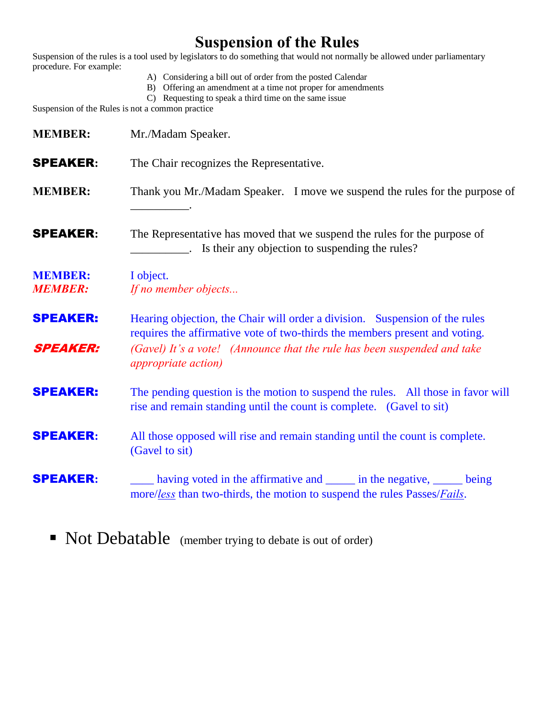## **Suspension of the Rules**

Suspension of the rules is a tool used by legislators to do something that would not normally be allowed under parliamentary procedure. For example:

- A) Considering a bill out of order from the posted Calendar
- B) Offering an amendment at a time not proper for amendments
- C) Requesting to speak a third time on the same issue

Suspension of the Rules is not a common practice

| <b>MEMBER:</b>                     | Mr./Madam Speaker.                                                                                                                                                                                                                                                    |
|------------------------------------|-----------------------------------------------------------------------------------------------------------------------------------------------------------------------------------------------------------------------------------------------------------------------|
| <b>SPEAKER:</b>                    | The Chair recognizes the Representative.                                                                                                                                                                                                                              |
| <b>MEMBER:</b>                     | Thank you Mr./Madam Speaker. I move we suspend the rules for the purpose of                                                                                                                                                                                           |
| <b>SPEAKER:</b>                    | The Representative has moved that we suspend the rules for the purpose of                                                                                                                                                                                             |
| <b>MEMBER:</b><br><b>MEMBER:</b>   | I object.<br>If no member objects                                                                                                                                                                                                                                     |
| <b>SPEAKER:</b><br><b>SPEAKER:</b> | Hearing objection, the Chair will order a division. Suspension of the rules<br>requires the affirmative vote of two-thirds the members present and voting.<br>(Gavel) It's a vote! (Announce that the rule has been suspended and take<br><i>appropriate action</i> ) |
| <b>SPEAKER:</b>                    | The pending question is the motion to suspend the rules. All those in favor will<br>rise and remain standing until the count is complete. (Gavel to sit)                                                                                                              |
| <b>SPEAKER:</b>                    | All those opposed will rise and remain standing until the count is complete.<br>(Gavel to sit)                                                                                                                                                                        |
| <b>SPEAKER:</b>                    | having voted in the affirmative and <u>equal</u> in the negative, <u>equal</u> being<br>more/less than two-thirds, the motion to suspend the rules Passes/ <i>Fails</i> .                                                                                             |

■ Not Debatable (member trying to debate is out of order)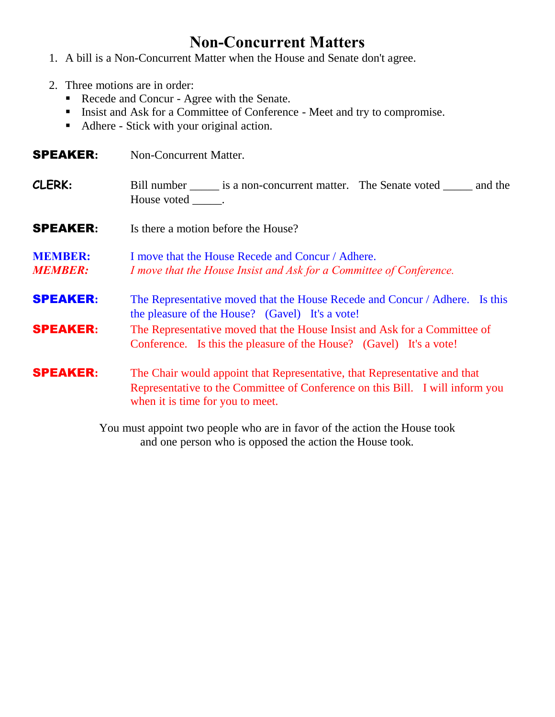## **Non-Concurrent Matters**

- 1. A bill is a Non-Concurrent Matter when the House and Senate don't agree.
- 2. Three motions are in order:
	- Recede and Concur Agree with the Senate.
	- **Insist and Ask for a Committee of Conference Meet and try to compromise.**
	- Adhere Stick with your original action.

| Non-Concurrent Matter. |
|------------------------|
|                        |

- **CLERK:** Bill number <u>\_\_\_\_</u> is a non-concurrent matter. The Senate voted \_\_\_\_\_ and the House voted \_\_\_\_\_\_\_.
- **SPEAKER:** Is there a motion before the House?
- **MEMBER:** I move that the House Recede and Concur / Adhere. *MEMBER: I move that the House Insist and Ask for a Committee of Conference.*
- **SPEAKER:** The Representative moved that the House Recede and Concur / Adhere. Is this the pleasure of the House? (Gavel) It's a vote!
- SPEAKER**:** The Representative moved that the House Insist and Ask for a Committee of Conference. Is this the pleasure of the House? (Gavel) It's a vote!

**SPEAKER:** The Chair would appoint that Representative, that Representative and that Representative to the Committee of Conference on this Bill. I will inform you when it is time for you to meet.

> You must appoint two people who are in favor of the action the House took and one person who is opposed the action the House took.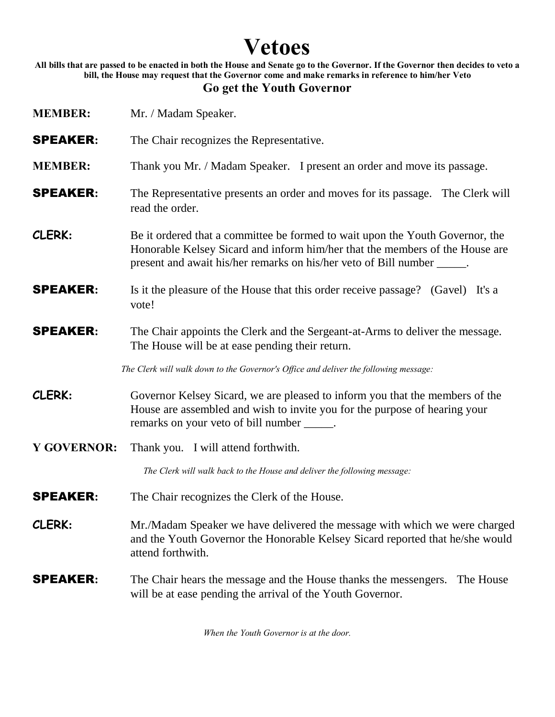# **Vetoes**

**All bills that are passed to be enacted in both the House and Senate go to the Governor. If the Governor then decides to veto a bill, the House may request that the Governor come and make remarks in reference to him/her Veto**

#### **Go get the Youth Governor**

| <b>MEMBER:</b>     | Mr. / Madam Speaker.                                                                                                                                                                                                                     |  |
|--------------------|------------------------------------------------------------------------------------------------------------------------------------------------------------------------------------------------------------------------------------------|--|
| <b>SPEAKER:</b>    | The Chair recognizes the Representative.                                                                                                                                                                                                 |  |
| <b>MEMBER:</b>     | Thank you Mr. / Madam Speaker. I present an order and move its passage.                                                                                                                                                                  |  |
| <b>SPEAKER:</b>    | The Representative presents an order and moves for its passage. The Clerk will<br>read the order.                                                                                                                                        |  |
| CLERK:             | Be it ordered that a committee be formed to wait upon the Youth Governor, the<br>Honorable Kelsey Sicard and inform him/her that the members of the House are<br>present and await his/her remarks on his/her veto of Bill number _____. |  |
| <b>SPEAKER:</b>    | Is it the pleasure of the House that this order receive passage? (Gavel) It's a<br>vote!                                                                                                                                                 |  |
| <b>SPEAKER:</b>    | The Chair appoints the Clerk and the Sergeant-at-Arms to deliver the message.<br>The House will be at ease pending their return.                                                                                                         |  |
|                    | The Clerk will walk down to the Governor's Office and deliver the following message:                                                                                                                                                     |  |
| CLERK:             | Governor Kelsey Sicard, we are pleased to inform you that the members of the<br>House are assembled and wish to invite you for the purpose of hearing your<br>remarks on your veto of bill number ______.                                |  |
| <b>Y GOVERNOR:</b> | Thank you. I will attend forthwith.                                                                                                                                                                                                      |  |
|                    | The Clerk will walk back to the House and deliver the following message:                                                                                                                                                                 |  |
| <b>SPEAKER:</b>    | The Chair recognizes the Clerk of the House.                                                                                                                                                                                             |  |
| CLERK:             | Mr./Madam Speaker we have delivered the message with which we were charged<br>and the Youth Governor the Honorable Kelsey Sicard reported that he/she would<br>attend forthwith.                                                         |  |
| <b>SPEAKER:</b>    | The Chair hears the message and the House thanks the messengers.<br>The House<br>will be at ease pending the arrival of the Youth Governor.                                                                                              |  |

*When the Youth Governor is at the door.*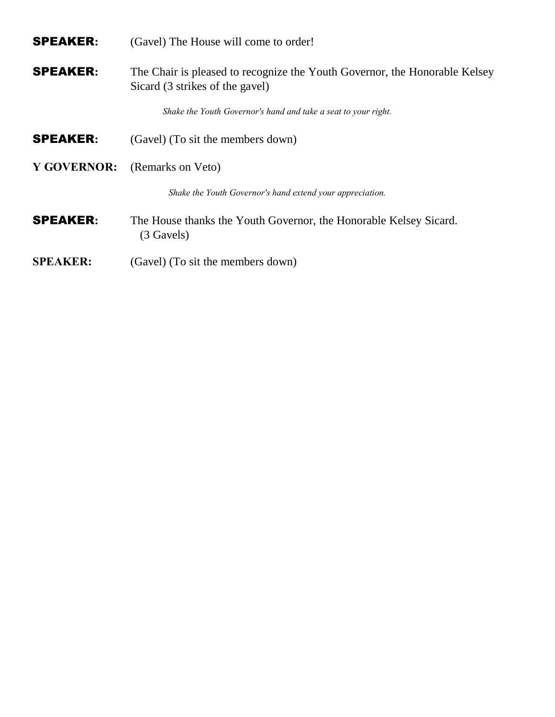SPEAKER**:** (Gavel) The House will come to order!

SPEAKER**:** The Chair is pleased to recognize the Youth Governor, the Honorable Kelsey Sicard (3 strikes of the gavel)

*Shake the Youth Governor's hand and take a seat to your right.*

- **SPEAKER:** (Gavel) (To sit the members down)
- **Y GOVERNOR:** (Remarks on Veto)

*Shake the Youth Governor's hand extend your appreciation.*

- **SPEAKER:** The House thanks the Youth Governor, the Honorable Kelsey Sicard. (3 Gavels)
- **SPEAKER:** (Gavel) (To sit the members down)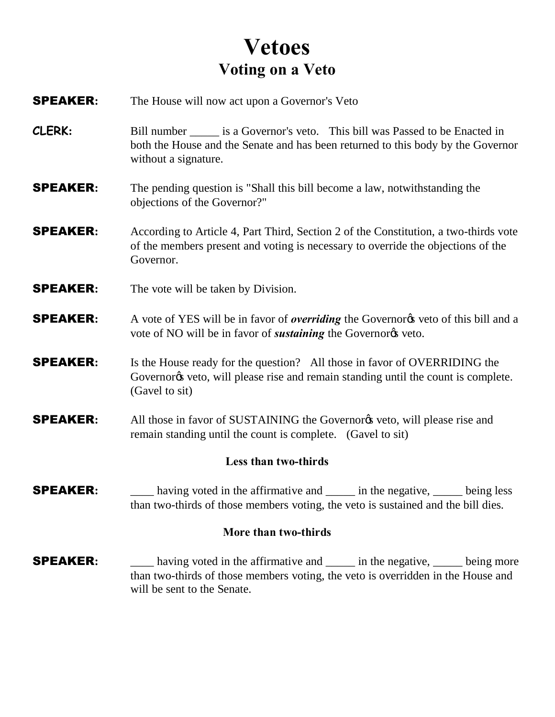# **Vetoes Voting on a Veto**

- **SPEAKER:** The House will now act upon a Governor's Veto
- **CLERK:** Bill number is a Governor's veto. This bill was Passed to be Enacted in both the House and the Senate and has been returned to this body by the Governor without a signature.
- SPEAKER**:** The pending question is "Shall this bill become a law, notwithstanding the objections of the Governor?"
- SPEAKER**:** According to Article 4, Part Third, Section 2 of the Constitution, a two-thirds vote of the members present and voting is necessary to override the objections of the Governor.
- **SPEAKER:** The vote will be taken by Division.
- **SPEAKER:** A vote of YES will be in favor of *overriding* the Governorgs veto of this bill and a vote of NO will be in favor of *sustaining* the Governor<sub>®</sub> veto.
- **SPEAKER:** Is the House ready for the question? All those in favor of OVERRIDING the Governor<sub> $\alpha$ </sub> veto, will please rise and remain standing until the count is complete. (Gavel to sit)
- **SPEAKER:** All those in favor of SUSTAINING the Governorgs veto, will please rise and remain standing until the count is complete. (Gavel to sit)

#### **Less than two-thirds**

**SPEAKER:** having voted in the affirmative and \_\_\_\_\_ in the negative, \_\_\_\_\_ being less than two-thirds of those members voting, the veto is sustained and the bill dies.

#### **More than two-thirds**

**SPEAKER:** having voted in the affirmative and \_\_\_\_\_ in the negative, \_\_\_\_\_ being more than two-thirds of those members voting, the veto is overridden in the House and will be sent to the Senate.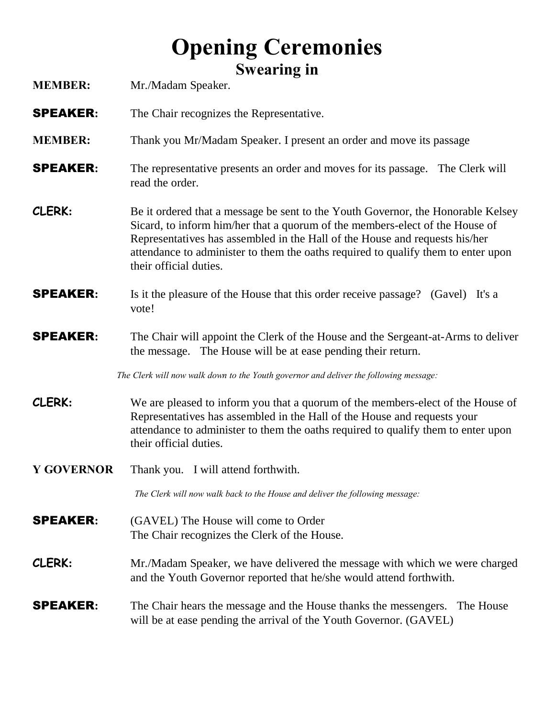# **Opening Ceremonies Swearing in**

| <b>MEMBER:</b>    | Mr./Madam Speaker.                                                                                                                                                                                                                                                                                                                                             |  |
|-------------------|----------------------------------------------------------------------------------------------------------------------------------------------------------------------------------------------------------------------------------------------------------------------------------------------------------------------------------------------------------------|--|
| <b>SPEAKER:</b>   | The Chair recognizes the Representative.                                                                                                                                                                                                                                                                                                                       |  |
| <b>MEMBER:</b>    | Thank you Mr/Madam Speaker. I present an order and move its passage                                                                                                                                                                                                                                                                                            |  |
| <b>SPEAKER:</b>   | The representative presents an order and moves for its passage. The Clerk will<br>read the order.                                                                                                                                                                                                                                                              |  |
| CLERK:            | Be it ordered that a message be sent to the Youth Governor, the Honorable Kelsey<br>Sicard, to inform him/her that a quorum of the members-elect of the House of<br>Representatives has assembled in the Hall of the House and requests his/her<br>attendance to administer to them the oaths required to qualify them to enter upon<br>their official duties. |  |
| <b>SPEAKER:</b>   | Is it the pleasure of the House that this order receive passage? (Gavel)<br>It's a<br>vote!                                                                                                                                                                                                                                                                    |  |
| <b>SPEAKER:</b>   | The Chair will appoint the Clerk of the House and the Sergeant-at-Arms to deliver<br>the message. The House will be at ease pending their return.                                                                                                                                                                                                              |  |
|                   | The Clerk will now walk down to the Youth governor and deliver the following message:                                                                                                                                                                                                                                                                          |  |
| CLERK:            | We are pleased to inform you that a quorum of the members-elect of the House of<br>Representatives has assembled in the Hall of the House and requests your<br>attendance to administer to them the oaths required to qualify them to enter upon<br>their official duties.                                                                                     |  |
| <b>Y GOVERNOR</b> | Thank you. I will attend forthwith.                                                                                                                                                                                                                                                                                                                            |  |
|                   | The Clerk will now walk back to the House and deliver the following message:                                                                                                                                                                                                                                                                                   |  |
| <b>SPEAKER:</b>   | (GAVEL) The House will come to Order<br>The Chair recognizes the Clerk of the House.                                                                                                                                                                                                                                                                           |  |
| CLERK:            | Mr./Madam Speaker, we have delivered the message with which we were charged<br>and the Youth Governor reported that he/she would attend forthwith.                                                                                                                                                                                                             |  |
| <b>SPEAKER:</b>   | The Chair hears the message and the House thanks the messengers.<br>The House<br>will be at ease pending the arrival of the Youth Governor. (GAVEL)                                                                                                                                                                                                            |  |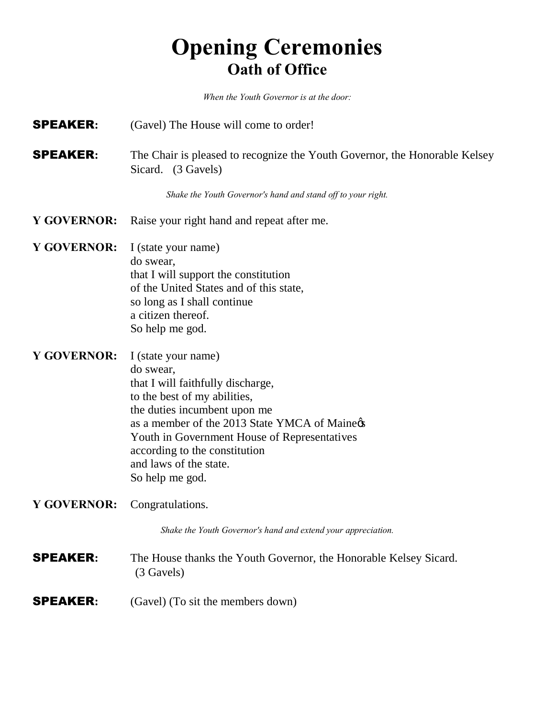# **Opening Ceremonies Oath of Office**

*When the Youth Governor is at the door:*

- **SPEAKER:** (Gavel) The House will come to order!
- **SPEAKER:** The Chair is pleased to recognize the Youth Governor, the Honorable Kelsey Sicard. (3 Gavels)

*Shake the Youth Governor's hand and stand off to your right.*

- **Y GOVERNOR:** Raise your right hand and repeat after me.
- **Y GOVERNOR:** I (state your name) do swear, that I will support the constitution of the United States and of this state, so long as I shall continue a citizen thereof. So help me god.
- **Y GOVERNOR:** I (state your name) do swear, that I will faithfully discharge, to the best of my abilities, the duties incumbent upon me as a member of the 2013 State YMCA of Maine& Youth in Government House of Representatives according to the constitution and laws of the state. So help me god.
- **Y GOVERNOR:** Congratulations.

*Shake the Youth Governor's hand and extend your appreciation.*

- SPEAKER**:** The House thanks the Youth Governor, the Honorable Kelsey Sicard. (3 Gavels)
- **SPEAKER:** (Gavel) (To sit the members down)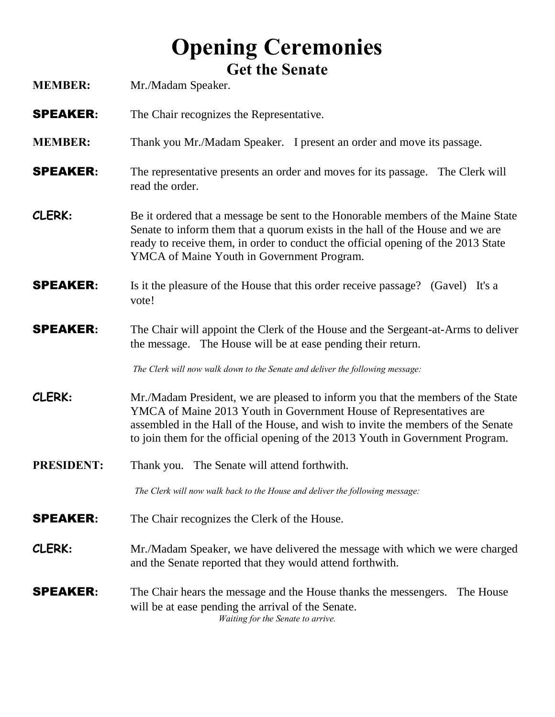# **Opening Ceremonies Get the Senate**

| <b>MEMBER:</b>    | Mr./Madam Speaker.                                                                                                                                                                                                                                                                                                           |  |
|-------------------|------------------------------------------------------------------------------------------------------------------------------------------------------------------------------------------------------------------------------------------------------------------------------------------------------------------------------|--|
| <b>SPEAKER:</b>   | The Chair recognizes the Representative.                                                                                                                                                                                                                                                                                     |  |
| <b>MEMBER:</b>    | Thank you Mr./Madam Speaker. I present an order and move its passage.                                                                                                                                                                                                                                                        |  |
| <b>SPEAKER:</b>   | The representative presents an order and moves for its passage. The Clerk will<br>read the order.                                                                                                                                                                                                                            |  |
| CLERK:            | Be it ordered that a message be sent to the Honorable members of the Maine State<br>Senate to inform them that a quorum exists in the hall of the House and we are<br>ready to receive them, in order to conduct the official opening of the 2013 State<br>YMCA of Maine Youth in Government Program.                        |  |
| <b>SPEAKER:</b>   | Is it the pleasure of the House that this order receive passage? (Gavel) It's a<br>vote!                                                                                                                                                                                                                                     |  |
| <b>SPEAKER:</b>   | The Chair will appoint the Clerk of the House and the Sergeant-at-Arms to deliver<br>the message. The House will be at ease pending their return.                                                                                                                                                                            |  |
|                   | The Clerk will now walk down to the Senate and deliver the following message:                                                                                                                                                                                                                                                |  |
| CLERK:            | Mr./Madam President, we are pleased to inform you that the members of the State<br>YMCA of Maine 2013 Youth in Government House of Representatives are<br>assembled in the Hall of the House, and wish to invite the members of the Senate<br>to join them for the official opening of the 2013 Youth in Government Program. |  |
| <b>PRESIDENT:</b> | The Senate will attend forthwith.<br>Thank you.                                                                                                                                                                                                                                                                              |  |
|                   | The Clerk will now walk back to the House and deliver the following message:                                                                                                                                                                                                                                                 |  |
| <b>SPEAKER:</b>   | The Chair recognizes the Clerk of the House.                                                                                                                                                                                                                                                                                 |  |
| CLERK:            | Mr./Madam Speaker, we have delivered the message with which we were charged<br>and the Senate reported that they would attend forthwith.                                                                                                                                                                                     |  |
| <b>SPEAKER:</b>   | The Chair hears the message and the House thanks the messengers.<br>The House<br>will be at ease pending the arrival of the Senate.<br>Waiting for the Senate to arrive.                                                                                                                                                     |  |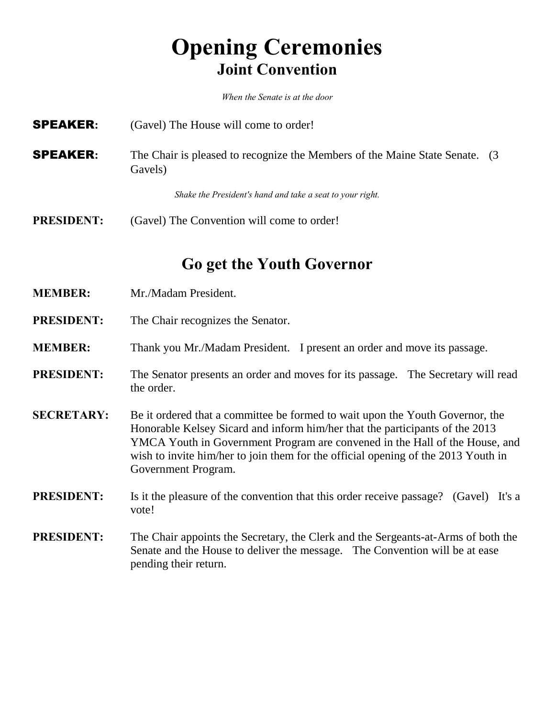# **Opening Ceremonies Joint Convention**

*When the Senate is at the door*

- **SPEAKER:** (Gavel) The House will come to order!
- **SPEAKER:** The Chair is pleased to recognize the Members of the Maine State Senate. (3) Gavels)

*Shake the President's hand and take a seat to your right.*

**PRESIDENT:** (Gavel) The Convention will come to order!

**Go get the Youth Governor**

- **MEMBER:** Mr./Madam President.
- **PRESIDENT:** The Chair recognizes the Senator.
- **MEMBER:** Thank you Mr./Madam President. I present an order and move its passage.

#### **PRESIDENT:** The Senator presents an order and moves for its passage. The Secretary will read the order.

- **SECRETARY:** Be it ordered that a committee be formed to wait upon the Youth Governor, the Honorable Kelsey Sicard and inform him/her that the participants of the 2013 YMCA Youth in Government Program are convened in the Hall of the House, and wish to invite him/her to join them for the official opening of the 2013 Youth in Government Program.
- **PRESIDENT:** Is it the pleasure of the convention that this order receive passage? (Gavel) It's a vote!
- **PRESIDENT:** The Chair appoints the Secretary, the Clerk and the Sergeants-at-Arms of both the Senate and the House to deliver the message. The Convention will be at ease pending their return.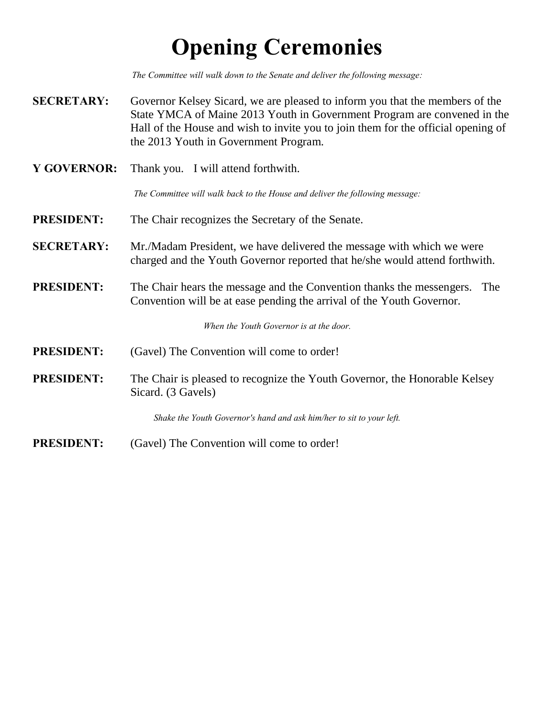# **Opening Ceremonies**

*The Committee will walk down to the Senate and deliver the following message:*

- **SECRETARY:** Governor Kelsey Sicard, we are pleased to inform you that the members of the State YMCA of Maine 2013 Youth in Government Program are convened in the Hall of the House and wish to invite you to join them for the official opening of the 2013 Youth in Government Program.
- **Y GOVERNOR:** Thank you. I will attend forthwith.

*The Committee will walk back to the House and deliver the following message:*

- **PRESIDENT:** The Chair recognizes the Secretary of the Senate.
- **SECRETARY:** Mr./Madam President, we have delivered the message with which we were charged and the Youth Governor reported that he/she would attend forthwith.
- **PRESIDENT:** The Chair hears the message and the Convention thanks the messengers. The Convention will be at ease pending the arrival of the Youth Governor.

*When the Youth Governor is at the door.*

- **PRESIDENT:** (Gavel) The Convention will come to order!
- **PRESIDENT:** The Chair is pleased to recognize the Youth Governor, the Honorable Kelsey Sicard. (3 Gavels)

*Shake the Youth Governor's hand and ask him/her to sit to your left.*

**PRESIDENT:** (Gavel) The Convention will come to order!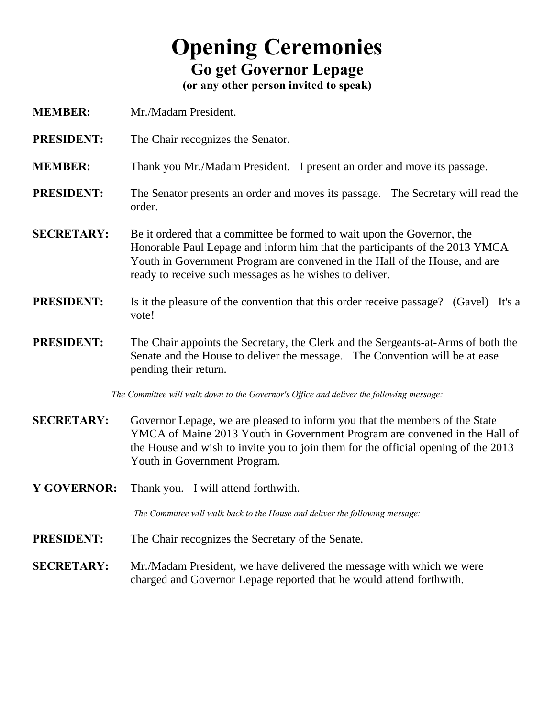# **Opening Ceremonies Go get Governor Lepage**

**(or any other person invited to speak)**

- **MEMBER:** Mr./Madam President.
- **PRESIDENT:** The Chair recognizes the Senator.
- **MEMBER:** Thank you Mr./Madam President. I present an order and move its passage.
- **PRESIDENT:** The Senator presents an order and moves its passage. The Secretary will read the order.
- **SECRETARY:** Be it ordered that a committee be formed to wait upon the Governor, the Honorable Paul Lepage and inform him that the participants of the 2013 YMCA Youth in Government Program are convened in the Hall of the House, and are ready to receive such messages as he wishes to deliver.
- **PRESIDENT:** Is it the pleasure of the convention that this order receive passage? (Gavel) It's a vote!
- **PRESIDENT:** The Chair appoints the Secretary, the Clerk and the Sergeants-at-Arms of both the Senate and the House to deliver the message. The Convention will be at ease pending their return.

*The Committee will walk down to the Governor's Office and deliver the following message:*

- **SECRETARY:** Governor Lepage, we are pleased to inform you that the members of the State YMCA of Maine 2013 Youth in Government Program are convened in the Hall of the House and wish to invite you to join them for the official opening of the 2013 Youth in Government Program.
- **Y GOVERNOR:** Thank you. I will attend forthwith.

*The Committee will walk back to the House and deliver the following message:*

- **PRESIDENT:** The Chair recognizes the Secretary of the Senate.
- **SECRETARY:** Mr./Madam President, we have delivered the message with which we were charged and Governor Lepage reported that he would attend forthwith.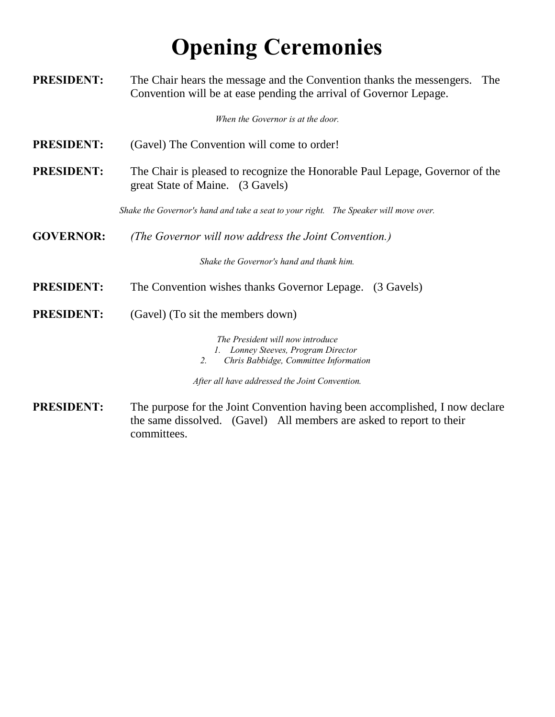# **Opening Ceremonies**

| <b>PRESIDENT:</b> | The Chair hears the message and the Convention thanks the messengers.<br>The<br>Convention will be at ease pending the arrival of Governor Lepage.    |  |
|-------------------|-------------------------------------------------------------------------------------------------------------------------------------------------------|--|
|                   | When the Governor is at the door.                                                                                                                     |  |
| <b>PRESIDENT:</b> | (Gavel) The Convention will come to order!                                                                                                            |  |
| <b>PRESIDENT:</b> | The Chair is pleased to recognize the Honorable Paul Lepage, Governor of the<br>great State of Maine. (3 Gavels)                                      |  |
|                   | Shake the Governor's hand and take a seat to your right. The Speaker will move over.                                                                  |  |
| <b>GOVERNOR:</b>  | (The Governor will now address the Joint Convention.)                                                                                                 |  |
|                   | Shake the Governor's hand and thank him.                                                                                                              |  |
| <b>PRESIDENT:</b> | The Convention wishes thanks Governor Lepage.<br>(3 Gavels)                                                                                           |  |
| <b>PRESIDENT:</b> | (Gavel) (To sit the members down)                                                                                                                     |  |
|                   | The President will now introduce<br>1. Lonney Steeves, Program Director<br>2.<br>Chris Babbidge, Committee Information                                |  |
|                   | After all have addressed the Joint Convention.                                                                                                        |  |
| <b>PRESIDENT:</b> | The purpose for the Joint Convention having been accomplished, I now declare<br>the same dissolved $(Cov_0)$ All members are asked to report to their |  |

the same dissolved. (Gavel) All members are asked to report to their committees.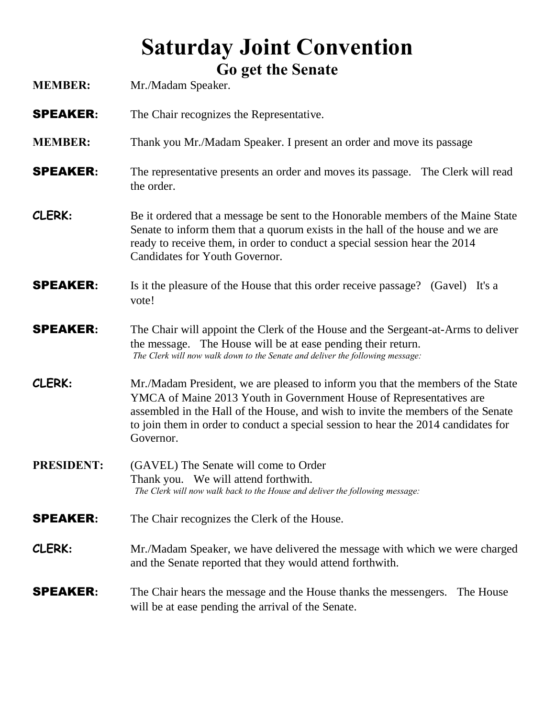## **Saturday Joint Convention Go get the Senate**

| <b>MEMBER:</b>    | OU GUL UIL DUNNIU<br>Mr./Madam Speaker.                                                                                                                                                                                                                                                                                                       |  |
|-------------------|-----------------------------------------------------------------------------------------------------------------------------------------------------------------------------------------------------------------------------------------------------------------------------------------------------------------------------------------------|--|
| <b>SPEAKER:</b>   | The Chair recognizes the Representative.                                                                                                                                                                                                                                                                                                      |  |
| <b>MEMBER:</b>    | Thank you Mr./Madam Speaker. I present an order and move its passage                                                                                                                                                                                                                                                                          |  |
| <b>SPEAKER:</b>   | The representative presents an order and moves its passage. The Clerk will read<br>the order.                                                                                                                                                                                                                                                 |  |
| CLERK:            | Be it ordered that a message be sent to the Honorable members of the Maine State<br>Senate to inform them that a quorum exists in the hall of the house and we are<br>ready to receive them, in order to conduct a special session hear the 2014<br>Candidates for Youth Governor.                                                            |  |
| <b>SPEAKER:</b>   | Is it the pleasure of the House that this order receive passage? (Gavel) It's a<br>vote!                                                                                                                                                                                                                                                      |  |
| <b>SPEAKER:</b>   | The Chair will appoint the Clerk of the House and the Sergeant-at-Arms to deliver<br>the message. The House will be at ease pending their return.<br>The Clerk will now walk down to the Senate and deliver the following message:                                                                                                            |  |
| CLERK:            | Mr./Madam President, we are pleased to inform you that the members of the State<br>YMCA of Maine 2013 Youth in Government House of Representatives are<br>assembled in the Hall of the House, and wish to invite the members of the Senate<br>to join them in order to conduct a special session to hear the 2014 candidates for<br>Governor. |  |
| <b>PRESIDENT:</b> | (GAVEL) The Senate will come to Order<br>Thank you. We will attend forthwith.<br>The Clerk will now walk back to the House and deliver the following message:                                                                                                                                                                                 |  |
| <b>SPEAKER:</b>   | The Chair recognizes the Clerk of the House.                                                                                                                                                                                                                                                                                                  |  |
| CLERK:            | Mr./Madam Speaker, we have delivered the message with which we were charged<br>and the Senate reported that they would attend forthwith.                                                                                                                                                                                                      |  |
| <b>SPEAKER:</b>   | The Chair hears the message and the House thanks the messengers.<br>The House<br>will be at ease pending the arrival of the Senate.                                                                                                                                                                                                           |  |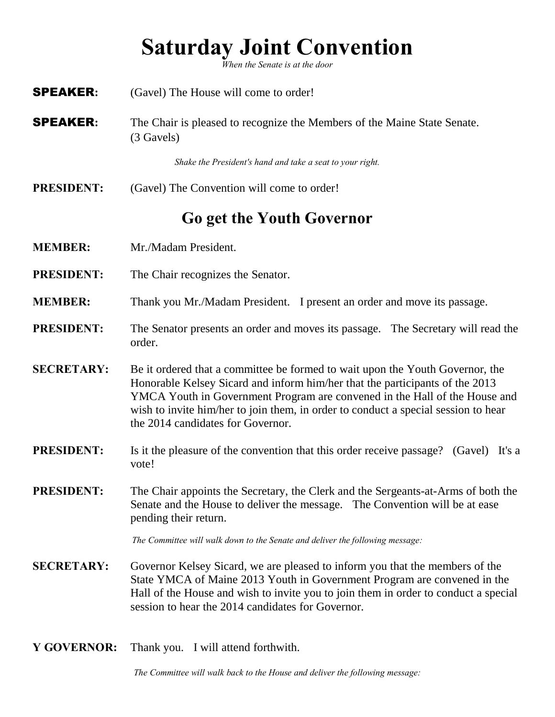# **Saturday Joint Convention**

*When the Senate is at the door*

- **SPEAKER:** (Gavel) The House will come to order! SPEAKER**:** The Chair is pleased to recognize the Members of the Maine State Senate. (3 Gavels) *Shake the President's hand and take a seat to your right.* **PRESIDENT:** (Gavel) The Convention will come to order! **Go get the Youth Governor MEMBER:** Mr./Madam President. **PRESIDENT:** The Chair recognizes the Senator. **MEMBER:** Thank you Mr./Madam President. I present an order and move its passage. **PRESIDENT:** The Senator presents an order and moves its passage. The Secretary will read the order. **SECRETARY:** Be it ordered that a committee be formed to wait upon the Youth Governor, the Honorable Kelsey Sicard and inform him/her that the participants of the 2013 YMCA Youth in Government Program are convened in the Hall of the House and wish to invite him/her to join them, in order to conduct a special session to hear the 2014 candidates for Governor. **PRESIDENT:** Is it the pleasure of the convention that this order receive passage? (Gavel) It's a vote! **PRESIDENT:** The Chair appoints the Secretary, the Clerk and the Sergeants-at-Arms of both the Senate and the House to deliver the message. The Convention will be at ease pending their return. *The Committee will walk down to the Senate and deliver the following message:* **SECRETARY:** Governor Kelsey Sicard, we are pleased to inform you that the members of the State YMCA of Maine 2013 Youth in Government Program are convened in the Hall of the House and wish to invite you to join them in order to conduct a special session to hear the 2014 candidates for Governor.
	- **Y GOVERNOR:** Thank you. I will attend forthwith.

*The Committee will walk back to the House and deliver the following message:*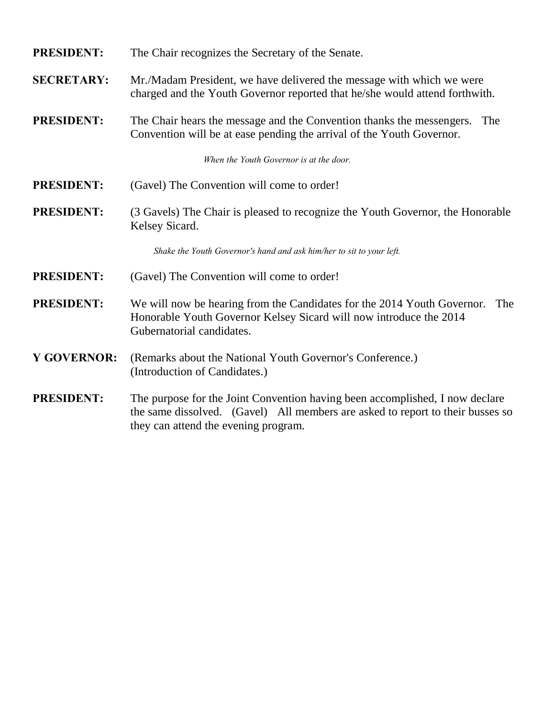#### **PRESIDENT:** The Chair recognizes the Secretary of the Senate.

**SECRETARY:** Mr./Madam President, we have delivered the message with which we were charged and the Youth Governor reported that he/she would attend forthwith.

**PRESIDENT:** The Chair hears the message and the Convention thanks the messengers. The Convention will be at ease pending the arrival of the Youth Governor.

*When the Youth Governor is at the door.*

- **PRESIDENT:** (Gavel) The Convention will come to order!
- **PRESIDENT:** (3 Gavels) The Chair is pleased to recognize the Youth Governor, the Honorable Kelsey Sicard.

*Shake the Youth Governor's hand and ask him/her to sit to your left.*

- **PRESIDENT:** (Gavel) The Convention will come to order!
- **PRESIDENT:** We will now be hearing from the Candidates for the 2014 Youth Governor. The Honorable Youth Governor Kelsey Sicard will now introduce the 2014 Gubernatorial candidates.
- **Y GOVERNOR:** (Remarks about the National Youth Governor's Conference.) (Introduction of Candidates.)
- **PRESIDENT:** The purpose for the Joint Convention having been accomplished, I now declare the same dissolved. (Gavel) All members are asked to report to their busses so they can attend the evening program.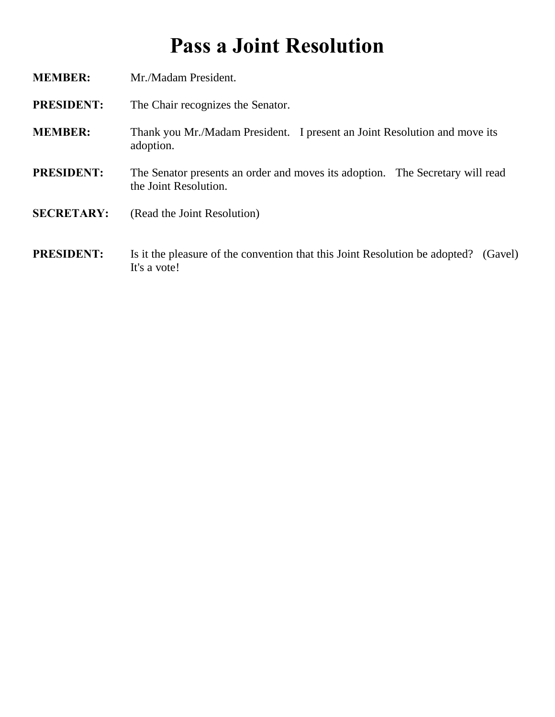# **Pass a Joint Resolution**

**MEMBER:** Mr./Madam President. **PRESIDENT:** The Chair recognizes the Senator. **MEMBER:** Thank you Mr./Madam President. I present an Joint Resolution and move its adoption. **PRESIDENT:** The Senator presents an order and moves its adoption. The Secretary will read the Joint Resolution. **SECRETARY:** (Read the Joint Resolution) **PRESIDENT:** Is it the pleasure of the convention that this Joint Resolution be adopted? (Gavel)

It's a vote!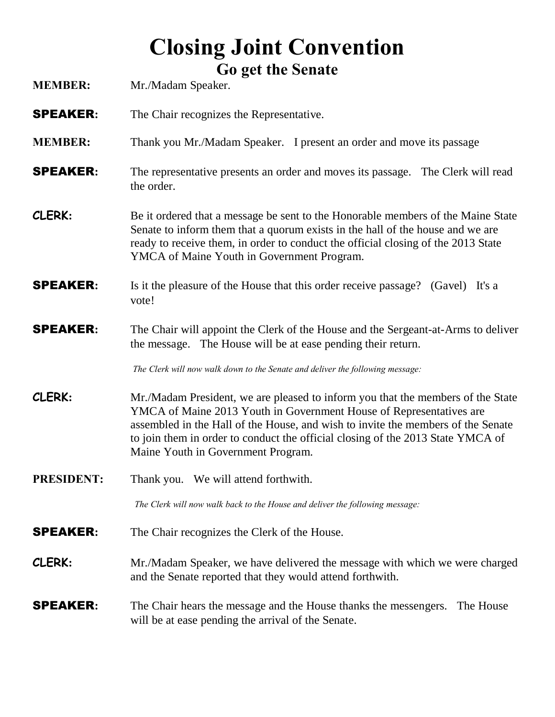# **Closing Joint Convention Go get the Senate**

| <b>MEMBER:</b>    | OU GUL UIL DEHAIL<br>Mr./Madam Speaker.                                                                                                                                                                                                                                                                                                                             |
|-------------------|---------------------------------------------------------------------------------------------------------------------------------------------------------------------------------------------------------------------------------------------------------------------------------------------------------------------------------------------------------------------|
| <b>SPEAKER:</b>   | The Chair recognizes the Representative.                                                                                                                                                                                                                                                                                                                            |
| <b>MEMBER:</b>    | Thank you Mr./Madam Speaker. I present an order and move its passage                                                                                                                                                                                                                                                                                                |
| <b>SPEAKER:</b>   | The representative presents an order and moves its passage. The Clerk will read<br>the order.                                                                                                                                                                                                                                                                       |
| CLERK:            | Be it ordered that a message be sent to the Honorable members of the Maine State<br>Senate to inform them that a quorum exists in the hall of the house and we are<br>ready to receive them, in order to conduct the official closing of the 2013 State<br>YMCA of Maine Youth in Government Program.                                                               |
| <b>SPEAKER:</b>   | Is it the pleasure of the House that this order receive passage? (Gavel) It's a<br>vote!                                                                                                                                                                                                                                                                            |
| <b>SPEAKER:</b>   | The Chair will appoint the Clerk of the House and the Sergeant-at-Arms to deliver<br>the message. The House will be at ease pending their return.                                                                                                                                                                                                                   |
|                   | The Clerk will now walk down to the Senate and deliver the following message:                                                                                                                                                                                                                                                                                       |
| CLERK:            | Mr./Madam President, we are pleased to inform you that the members of the State<br>YMCA of Maine 2013 Youth in Government House of Representatives are<br>assembled in the Hall of the House, and wish to invite the members of the Senate<br>to join them in order to conduct the official closing of the 2013 State YMCA of<br>Maine Youth in Government Program. |
| <b>PRESIDENT:</b> | Thank you. We will attend forthwith.                                                                                                                                                                                                                                                                                                                                |
|                   | The Clerk will now walk back to the House and deliver the following message:                                                                                                                                                                                                                                                                                        |
| <b>SPEAKER:</b>   | The Chair recognizes the Clerk of the House.                                                                                                                                                                                                                                                                                                                        |
| CLERK:            | Mr./Madam Speaker, we have delivered the message with which we were charged<br>and the Senate reported that they would attend forthwith.                                                                                                                                                                                                                            |
| <b>SPEAKER:</b>   | The Chair hears the message and the House thanks the messengers. The House<br>will be at ease pending the arrival of the Senate.                                                                                                                                                                                                                                    |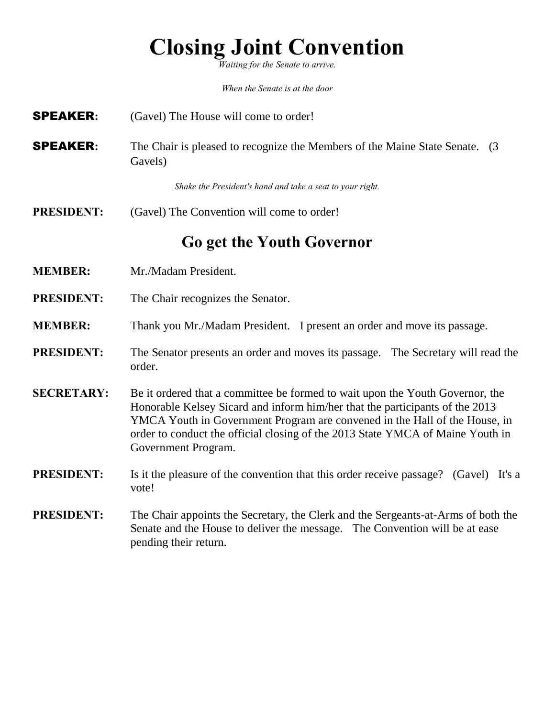# **Closing Joint Convention**

*Waiting for the Senate to arrive.*

*When the Senate is at the door*

- SPEAKER**:** (Gavel) The House will come to order!
- **SPEAKER:** The Chair is pleased to recognize the Members of the Maine State Senate. (3) Gavels)

*Shake the President's hand and take a seat to your right.*

**PRESIDENT:** (Gavel) The Convention will come to order!

### **Go get the Youth Governor**

- **MEMBER:** Mr./Madam President.
- **PRESIDENT:** The Chair recognizes the Senator.
- **MEMBER:** Thank you Mr./Madam President. I present an order and move its passage.
- **PRESIDENT:** The Senator presents an order and moves its passage. The Secretary will read the order.
- **SECRETARY:** Be it ordered that a committee be formed to wait upon the Youth Governor, the Honorable Kelsey Sicard and inform him/her that the participants of the 2013 YMCA Youth in Government Program are convened in the Hall of the House, in order to conduct the official closing of the 2013 State YMCA of Maine Youth in Government Program.
- **PRESIDENT:** Is it the pleasure of the convention that this order receive passage? (Gavel) It's a vote!
- **PRESIDENT:** The Chair appoints the Secretary, the Clerk and the Sergeants-at-Arms of both the Senate and the House to deliver the message. The Convention will be at ease pending their return.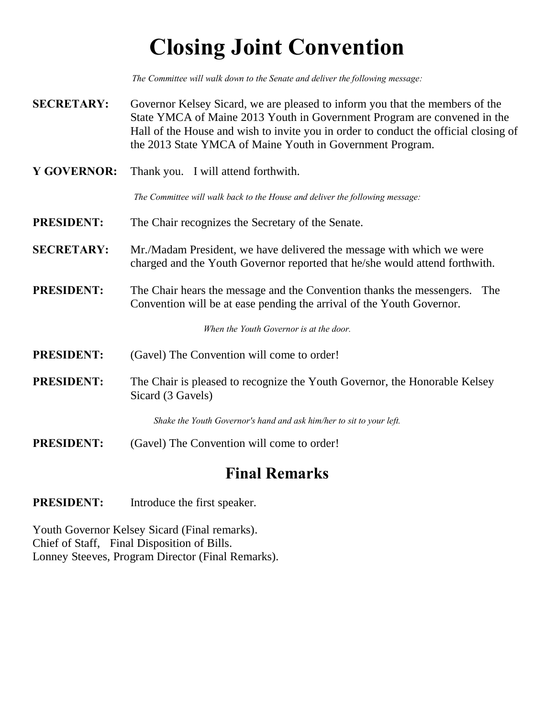# **Closing Joint Convention**

*The Committee will walk down to the Senate and deliver the following message:*

- **SECRETARY:** Governor Kelsey Sicard, we are pleased to inform you that the members of the State YMCA of Maine 2013 Youth in Government Program are convened in the Hall of the House and wish to invite you in order to conduct the official closing of the 2013 State YMCA of Maine Youth in Government Program.
- **Y GOVERNOR:** Thank you. I will attend forthwith.

*The Committee will walk back to the House and deliver the following message:*

- **PRESIDENT:** The Chair recognizes the Secretary of the Senate.
- **SECRETARY:** Mr./Madam President, we have delivered the message with which we were charged and the Youth Governor reported that he/she would attend forthwith.
- **PRESIDENT:** The Chair hears the message and the Convention thanks the messengers. The Convention will be at ease pending the arrival of the Youth Governor.

*When the Youth Governor is at the door.*

- **PRESIDENT:** (Gavel) The Convention will come to order!
- **PRESIDENT:** The Chair is pleased to recognize the Youth Governor, the Honorable Kelsey Sicard (3 Gavels)

*Shake the Youth Governor's hand and ask him/her to sit to your left.*

**PRESIDENT:** (Gavel) The Convention will come to order!

### **Final Remarks**

**PRESIDENT:** Introduce the first speaker.

Youth Governor Kelsey Sicard (Final remarks). Chief of Staff, Final Disposition of Bills. Lonney Steeves, Program Director (Final Remarks).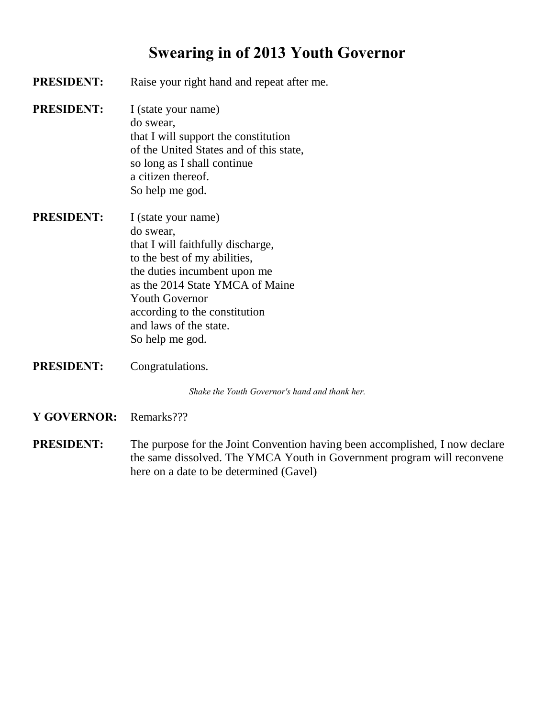## **Swearing in of 2013 Youth Governor**

- **PRESIDENT:** Raise your right hand and repeat after me. **PRESIDENT:** I (state your name) do swear, that I will support the constitution of the United States and of this state, so long as I shall continue a citizen thereof. So help me god. **PRESIDENT:** I (state your name) do swear, that I will faithfully discharge, to the best of my abilities, the duties incumbent upon me as the 2014 State YMCA of Maine
- Youth Governor according to the constitution and laws of the state. So help me god.
- **PRESIDENT:** Congratulations.

*Shake the Youth Governor's hand and thank her.*

- **Y GOVERNOR:** Remarks???
- **PRESIDENT:** The purpose for the Joint Convention having been accomplished, I now declare the same dissolved. The YMCA Youth in Government program will reconvene here on a date to be determined (Gavel)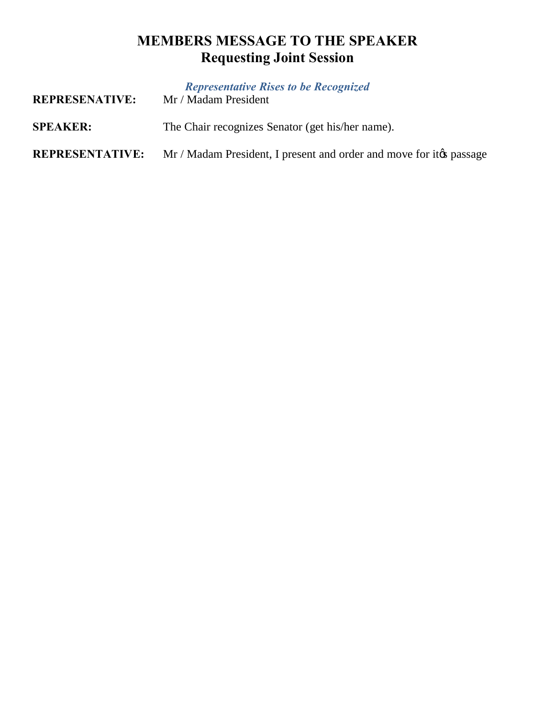## **MEMBERS MESSAGE TO THE SPEAKER Requesting Joint Session**

| <b>REPRESENATIVE:</b>  | <b>Representative Rises to be Recognized</b><br>Mr / Madam President |
|------------------------|----------------------------------------------------------------------|
| <b>SPEAKER:</b>        | The Chair recognizes Senator (get his/her name).                     |
| <b>REPRESENTATIVE:</b> | Mr / Madam President, I present and order and move for it to passage |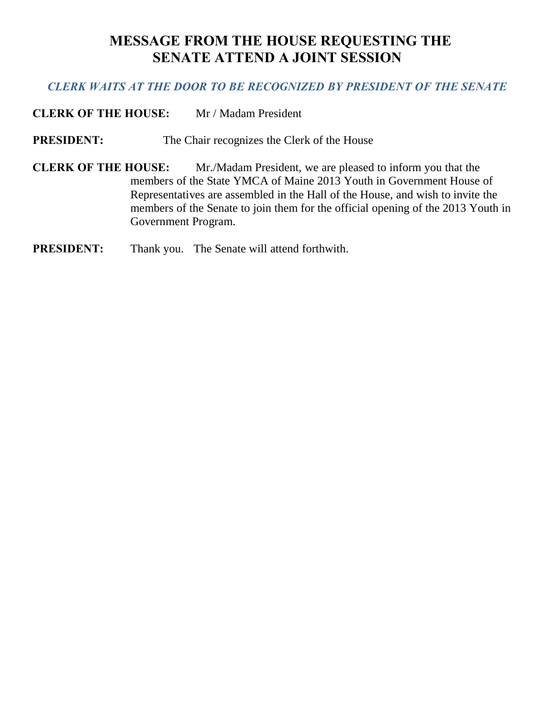### **MESSAGE FROM THE HOUSE REQUESTING THE SENATE ATTEND A JOINT SESSION**

#### *CLERK WAITS AT THE DOOR TO BE RECOGNIZED BY PRESIDENT OF THE SENATE*

**CLERK OF THE HOUSE:** Mr / Madam President

**PRESIDENT:** The Chair recognizes the Clerk of the House

**CLERK OF THE HOUSE:** Mr./Madam President, we are pleased to inform you that the members of the State YMCA of Maine 2013 Youth in Government House of Representatives are assembled in the Hall of the House, and wish to invite the members of the Senate to join them for the official opening of the 2013 Youth in Government Program.

#### **PRESIDENT:** Thank you. The Senate will attend forthwith.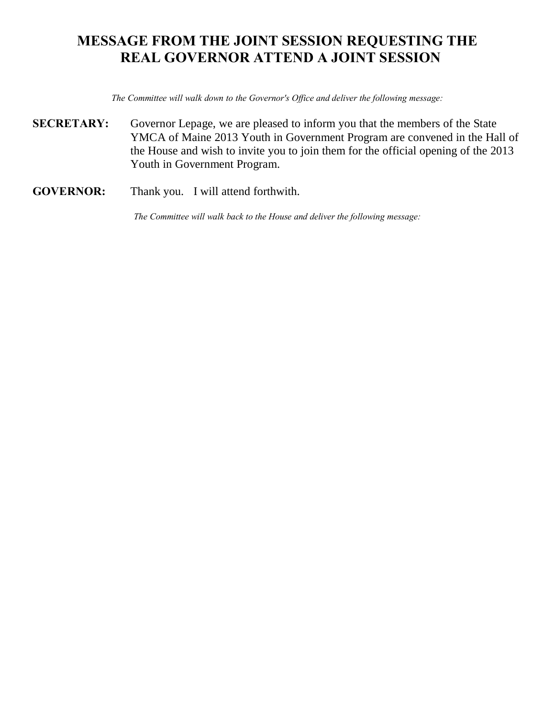### **MESSAGE FROM THE JOINT SESSION REQUESTING THE REAL GOVERNOR ATTEND A JOINT SESSION**

*The Committee will walk down to the Governor's Office and deliver the following message:*

- **SECRETARY:** Governor Lepage, we are pleased to inform you that the members of the State YMCA of Maine 2013 Youth in Government Program are convened in the Hall of the House and wish to invite you to join them for the official opening of the 2013 Youth in Government Program.
- **GOVERNOR:** Thank you. I will attend forthwith.

*The Committee will walk back to the House and deliver the following message:*